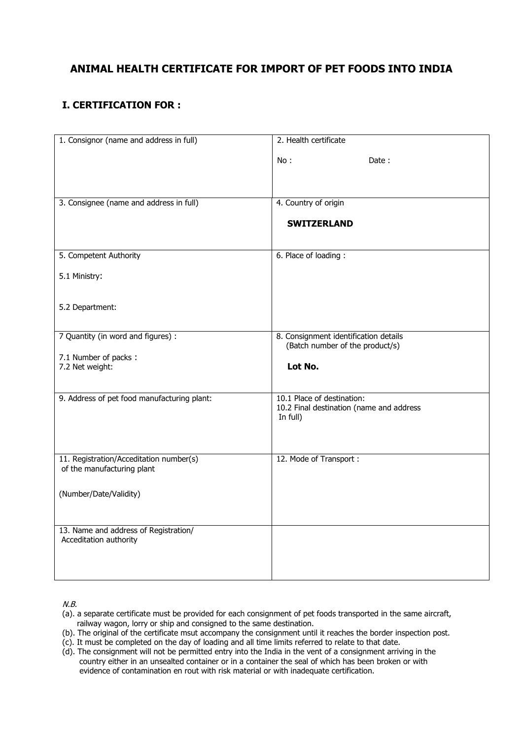## **ANIMAL HEALTH CERTIFICATE FOR IMPORT OF PET FOODS INTO INDIA**

## **I. CERTIFICATION FOR :**

| 1. Consignor (name and address in full)                         | 2. Health certificate                                                    |
|-----------------------------------------------------------------|--------------------------------------------------------------------------|
|                                                                 | No:<br>Date:                                                             |
|                                                                 |                                                                          |
|                                                                 |                                                                          |
| 3. Consignee (name and address in full)                         | 4. Country of origin                                                     |
|                                                                 | <b>SWITZERLAND</b>                                                       |
|                                                                 |                                                                          |
| 5. Competent Authority                                          | 6. Place of loading:                                                     |
|                                                                 |                                                                          |
| 5.1 Ministry:                                                   |                                                                          |
|                                                                 |                                                                          |
| 5.2 Department:                                                 |                                                                          |
|                                                                 |                                                                          |
| 7 Quantity (in word and figures) :                              | 8. Consignment identification details<br>(Batch number of the product/s) |
| 7.1 Number of packs:                                            |                                                                          |
| 7.2 Net weight:                                                 | Lot No.                                                                  |
|                                                                 |                                                                          |
| 9. Address of pet food manufacturing plant:                     | 10.1 Place of destination:                                               |
|                                                                 | 10.2 Final destination (name and address<br>In full)                     |
|                                                                 |                                                                          |
|                                                                 |                                                                          |
| 11. Registration/Acceditation number(s)                         | 12. Mode of Transport:                                                   |
| of the manufacturing plant                                      |                                                                          |
| (Number/Date/Validity)                                          |                                                                          |
|                                                                 |                                                                          |
|                                                                 |                                                                          |
| 13. Name and address of Registration/<br>Acceditation authority |                                                                          |
|                                                                 |                                                                          |
|                                                                 |                                                                          |
|                                                                 |                                                                          |

N.B.

- (a). a separate certificate must be provided for each consignment of pet foods transported in the same aircraft, railway wagon, lorry or ship and consigned to the same destination.
- (b). The original of the certificate msut accompany the consignment until it reaches the border inspection post.
- (c). It must be completed on the day of loading and all time limits referred to relate to that date.
- (d). The consignment will not be permitted entry into the India in the vent of a consignment arriving in the country either in an unsealted container or in a container the seal of which has been broken or with evidence of contamination en rout with risk material or with inadequate certification.